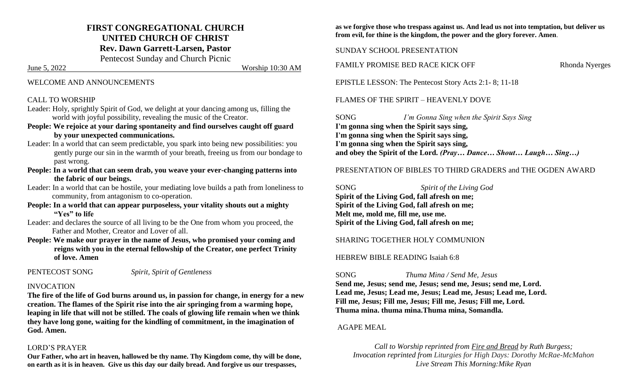# **FIRST CONGREGATIONAL CHURCH UNITED CHURCH OF CHRIST Rev. Dawn Garrett-Larsen, Pastor**

Pentecost Sunday and Church Picnic

June 5, 2022 Worship 10:30 AM

WELCOME AND ANNOUNCEMENTS

### CALL TO WORSHIP

- Leader: Holy, sprightly Spirit of God, we delight at your dancing among us, filling the world with joyful possibility, revealing the music of the Creator.
- **People: We rejoice at your daring spontaneity and find ourselves caught off guard by your unexpected communications.**
- Leader: In a world that can seem predictable, you spark into being new possibilities: you gently purge our sin in the warmth of your breath, freeing us from our bondage to past wrong.
- **People: In a world that can seem drab, you weave your ever-changing patterns into the fabric of our beings.**
- Leader: In a world that can be hostile, your mediating love builds a path from loneliness to community, from antagonism to co-operation.
- **People: In a world that can appear purposeless, your vitality shouts out a mighty "Yes" to life**
- Leader: and declares the source of all living to be the One from whom you proceed, the Father and Mother, Creator and Lover of all.
- **People: We make our prayer in the name of Jesus, who promised your coming and reigns with you in the eternal fellowship of the Creator, one perfect Trinity of love. Amen**
- PENTECOST SONG *Spirit, Spirit of Gentleness*

#### INVOCATION

**The fire of the life of God burns around us, in passion for change, in energy for a new creation. The flames of the Spirit rise into the air springing from a warming hope, leaping in life that will not be stilled. The coals of glowing life remain when we think they have long gone, waiting for the kindling of commitment, in the imagination of God. Amen.**

#### LORD'S PRAYER

**Our Father, who art in heaven, hallowed be thy name. Thy Kingdom come, thy will be done, on earth as it is in heaven. Give us this day our daily bread. And forgive us our trespasses,** 

**as we forgive those who trespass against us. And lead us not into temptation, but deliver us from evil, for thine is the kingdom, the power and the glory forever. Amen**.

#### SUNDAY SCHOOL PRESENTATION

FAMILY PROMISE BED RACE KICK OFF Rhonda Nyerges

EPISTLE LESSON: The Pentecost Story Acts 2:1- 8; 11-18

# FLAMES OF THE SPIRIT – HEAVENLY DOVE

SONG *I'm Gonna Sing when the Spirit Says Sing* **I'm gonna sing when the Spirit says sing, I'm gonna sing when the Spirit says sing, I'm gonna sing when the Spirit says sing, and obey the Spirit of the Lord.** *(Pray… Dance… Shout… Laugh… Sing…)*

# PRESENTATION OF BIBLES TO THIRD GRADERS and THE OGDEN AWARD

SONG *Spirit of the Living God* **Spirit of the Living God, fall afresh on me; Spirit of the Living God, fall afresh on me; Melt me, mold me, fill me, use me. Spirit of the Living God, fall afresh on me;**

# SHARING TOGETHER HOLY COMMUNION

HEBREW BIBLE READING Isaiah 6:8

# SONG *Thuma Mina / Send Me, Jesus*

**Send me, Jesus; send me, Jesus; send me, Jesus; send me, Lord. Lead me, Jesus; Lead me, Jesus; Lead me, Jesus; Lead me, Lord. Fill me, Jesus; Fill me, Jesus; Fill me, Jesus; Fill me, Lord. Thuma mina. thuma mina.Thuma mina, Somandla.**

# AGAPE MEAL

*Call to Worship reprinted from Fire and Bread by Ruth Burgess; Invocation reprinted from Liturgies for High Days: Dorothy McRae-McMahon Live Stream This Morning:Mike Ryan*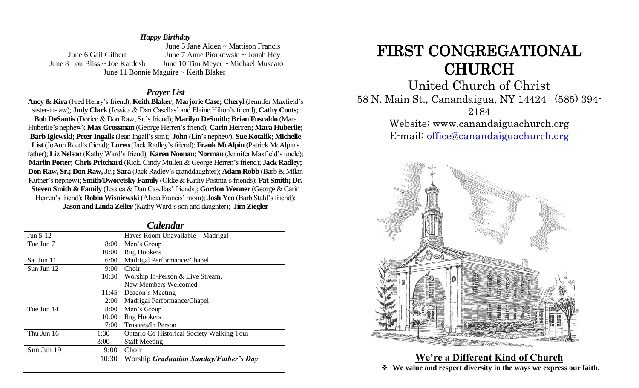#### *Happy Birthday*

June 5 Jane Alden ~ Mattison Francis June 6 Gail Gilbert June 7 Anne Piorkowski ~ Jonah Hey June 8 Lou Bliss ~ Joe Kardesh June 10 Tim Meyer ~ Michael Muscato June 11 Bonnie Maguire ~ Keith Blaker

#### *Prayer List*

**Ancy & Kira** (Fred Henry's friend); **Keith Blaker; Marjorie Case; Cheryl** (Jennifer Maxfield's sister-in-law); **Judy Clark** (Jessica & Dan Casellas' and Elaine Hilton's friend); **Cathy Coots; Bob DeSantis**(Dorice & Don Raw, Sr.'s friend); **Marilyn DeSmith; Brian Fuscaldo** (Mara Huberlie's nephew); **Max Grossman** (George Herren's friend); **Carin Herren; Mara Huberlie; Barb Iglewski; Peter Ingalls**(Jean Ingall's son); **John** (Lin's nephew); **Sue Kotalik; Michelle List** (JoAnn Reed's friend); **Loren** (Jack Radley's friend); **Frank McAlpin** (Patrick McAlpin's father); **Liz Nelson** (Kathy Ward's friend); **Karen Noonan**; **Norman** (Jennifer Maxfield's uncle); **Marlin Potter; Chris Pritchard** (Rick, Cindy Mullen & George Herren's friend); **Jack Radley; Don Raw, Sr.; Don Raw, Jr.; Sara** (Jack Radley's granddaughter); **Adam Robb** (Barb & Milan Kutner's nephew); **Smith/Dworetsky Family** (Okke & Kathy Postma's friends); **Pat Smith; Dr. Steven Smith & Family** (Jessica & Dan Casellas' friends); **Gordon Wenner** (George & Carin Herren's friend); **Robin Wisniewski** (Alicia Francis' mom); **Josh Yeo** (Barb Stahl's friend); **Jason and Linda Zeller** (Kathy Ward's son and daughter); **Jim Ziegler**

| <b>Calendar</b> |       |                                                   |
|-----------------|-------|---------------------------------------------------|
| Jun 5-12        |       | Hayes Room Unavailable – Madrigal                 |
| Tue Jun 7       | 8:00  | Men's Group                                       |
|                 | 10:00 | <b>Rug Hookers</b>                                |
| Sat Jun 11      | 6:00  | Madrigal Performance/Chapel                       |
| Sun Jun 12      | 9:00  | Choir                                             |
|                 | 10:30 | Worship In-Person & Live Stream,                  |
|                 |       | New Members Welcomed                              |
|                 | 11:45 | Deacon's Meeting                                  |
|                 | 2:00  | Madrigal Performance/Chapel                       |
| Tue Jun 14      | 8:00  | Men's Group                                       |
|                 | 10:00 | <b>Rug Hookers</b>                                |
|                 | 7:00  | Trustees/In Person                                |
| Thu Jun 16      | 1:30  | <b>Ontario Co Historical Society Walking Tour</b> |
|                 | 3:00  | <b>Staff Meeting</b>                              |
| Sun Jun 19      | 9:00  | Choir                                             |
|                 | 10:30 | Worship <i>Graduation Sunday/Father's Day</i>     |

# FIRST CONGREGATIONAL CHURCH

United Church of Christ 58 N. Main St., Canandaigua, NY 14424 (585) 394- 2184 Website: www.canandaiguachurch.org

E-mail: [office@canandaiguachurch.org](mailto:office@canandaiguachurch.org)



**We're a Different Kind of Church We value and respect diversity in the ways we express our faith.**